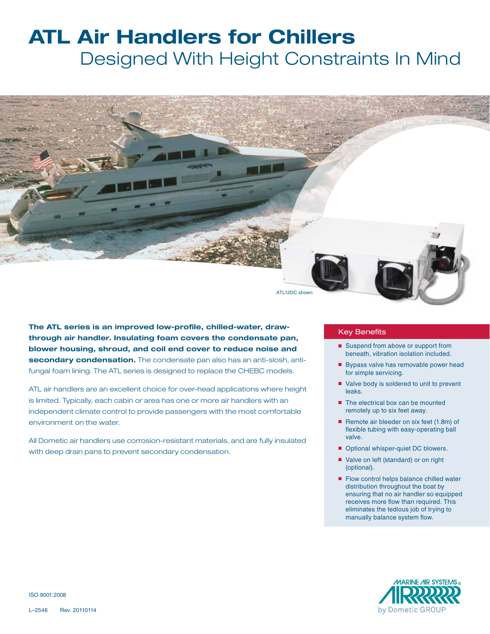## **ATL Air Handlers for Chillers** Designed With Height Constraints In Mind



**The ATL series is an improved low-profile, chilled-water, drawthrough air handler. Insulating foam covers the condensate pan, blower housing, shroud, and coil end cover to reduce noise and secondary condensation.** The condensate pan also has an anti-slosh, antifungal foam lining. The ATL series is designed to replace the CHEBC models.

ATL air handlers are an excellent choice for over-head applications where height is limited. Typically, each cabin or area has one or more air handlers with an independent climate control to provide passengers with the most comfortable environment on the water.

All Dometic air handlers use corrosion-resistant materials, and are fully insulated with deep drain pans to prevent secondary condensation.

## Key Benefits

- Suspend from above or support from beneath, vibration isolation included.
- Bypass valve has removable power head for simple servicing.
- Valve body is soldered to unit to prevent leaks.
- The electrical box can be mounted remotely up to six feet away.
- Remote air bleeder on six feet (1.8m) of flexible tubing with easy-operating ball valve.
- Optional whisper-quiet DC blowers.
- Valve on left (standard) or on right (optional).
- Flow control helps balance chilled water distribution throughout the boat by ensuring that no air handler so equipped receives more flow than required. This eliminates the tedious job of trying to manually balance system flow.



ISO 9001:2008